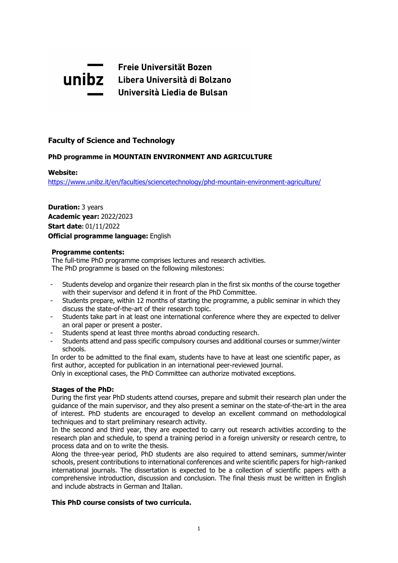

# **Faculty of Science and Technology**

# **PhD programme in MOUNTAIN ENVIRONMENT AND AGRICULTURE**

## **Website:**

<https://www.unibz.it/en/faculties/sciencetechnology/phd-mountain-environment-agriculture/>

**Duration:** 3 years **Academic year:** 2022/2023 **Start date:** 01/11/2022 **Official programme language:** English

#### **Programme contents:**

The full-time PhD programme comprises lectures and research activities. The PhD programme is based on the following milestones:

- Students develop and organize their research plan in the first six months of the course together with their supervisor and defend it in front of the PhD Committee.
- Students prepare, within 12 months of starting the programme, a public seminar in which they discuss the state-of-the-art of their research topic.
- Students take part in at least one international conference where they are expected to deliver an oral paper or present a poster.
- Students spend at least three months abroad conducting research.
- Students attend and pass specific compulsory courses and additional courses or summer/winter schools.

In order to be admitted to the final exam, students have to have at least one scientific paper, as first author, accepted for publication in an international peer-reviewed journal.

Only in exceptional cases, the PhD Committee can authorize motivated exceptions.

#### **Stages of the PhD:**

During the first year PhD students attend courses, prepare and submit their research plan under the guidance of the main supervisor, and they also present a seminar on the state-of-the-art in the area of interest. PhD students are encouraged to develop an excellent command on methodological techniques and to start preliminary research activity.

In the second and third year, they are expected to carry out research activities according to the research plan and schedule, to spend a training period in a foreign university or research centre, to process data and on to write the thesis.

Along the three-year period, PhD students are also required to attend seminars, summer/winter schools, present contributions to international conferences and write scientific papers for high-ranked international journals. The dissertation is expected to be a collection of scientific papers with a comprehensive introduction, discussion and conclusion. The final thesis must be written in English and include abstracts in German and Italian.

# **This PhD course consists of two curricula.**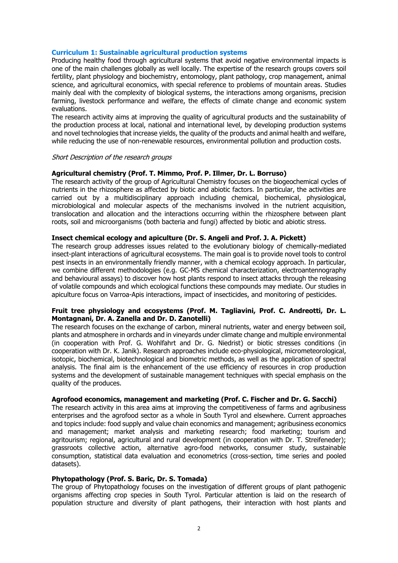#### **Curriculum 1: Sustainable agricultural production systems**

Producing healthy food through agricultural systems that avoid negative environmental impacts is one of the main challenges globally as well locally. The expertise of the research groups covers soil fertility, plant physiology and biochemistry, entomology, plant pathology, crop management, animal science, and agricultural economics, with special reference to problems of mountain areas. Studies mainly deal with the complexity of biological systems, the interactions among organisms, precision farming, livestock performance and welfare, the effects of climate change and economic system evaluations.

The research activity aims at improving the quality of agricultural products and the sustainability of the production process at local, national and international level, by developing production systems and novel technologies that increase yields, the quality of the products and animal health and welfare, while reducing the use of non-renewable resources, environmental pollution and production costs.

#### Short Description of the research groups

## **Agricultural chemistry (Prof. T. Mimmo, Prof. P. Illmer, Dr. L. Borruso)**

The research activity of the group of Agricultural Chemistry focuses on the biogeochemical cycles of nutrients in the rhizosphere as affected by biotic and abiotic factors. In particular, the activities are carried out by a multidisciplinary approach including chemical, biochemical, physiological, microbiological and molecular aspects of the mechanisms involved in the nutrient acquisition, translocation and allocation and the interactions occurring within the rhizosphere between plant roots, soil and microorganisms (both bacteria and fungi) affected by biotic and abiotic stress.

## **Insect chemical ecology and apiculture (Dr. S. Angeli and Prof. J. A. Pickett)**

The research group addresses issues related to the evolutionary biology of chemically-mediated insect-plant interactions of agricultural ecosystems. The main goal is to provide novel tools to control pest insects in an environmentally friendly manner, with a chemical ecology approach. In particular, we combine different methodologies (e.g. GC-MS chemical characterization, electroantennography and behavioural assays) to discover how host plants respond to insect attacks through the releasing of volatile compounds and which ecological functions these compounds may mediate. Our studies in apiculture focus on Varroa-Apis interactions, impact of insecticides, and monitoring of pesticides.

# **Fruit tree physiology and ecosystems (Prof. M. Tagliavini, Prof. C. Andreotti, Dr. L. Montagnani, Dr. A. Zanella and Dr. D. Zanotelli)**

The research focuses on the exchange of carbon, mineral nutrients, water and energy between soil, plants and atmosphere in orchards and in vineyards under climate change and multiple environmental (in cooperation with Prof. G. Wohlfahrt and Dr. G. Niedrist) or biotic stresses conditions (in cooperation with Dr. K. Janik). Research approaches include eco-physiological, micrometeorological, isotopic, biochemical, biotechnological and biometric methods, as well as the application of spectral analysis. The final aim is the enhancement of the use efficiency of resources in crop production systems and the development of sustainable management techniques with special emphasis on the quality of the produces.

#### **Agrofood economics, management and marketing (Prof. C. Fischer and Dr. G. Sacchi)**

The research activity in this area aims at improving the competitiveness of farms and agribusiness enterprises and the agrofood sector as a whole in South Tyrol and elsewhere. Current approaches and topics include: food supply and value chain economics and management; agribusiness economics and management; market analysis and marketing research; food marketing; tourism and agritourism; regional, agricultural and rural development (in cooperation with Dr. T. Streifeneder); grassroots collective action, alternative agro-food networks, consumer study, sustainable consumption, statistical data evaluation and econometrics (cross-section, time series and pooled datasets).

# **Phytopathology (Prof. S. Baric, Dr. S. Tomada)**

The group of Phytopathology focuses on the investigation of different groups of plant pathogenic organisms affecting crop species in South Tyrol. Particular attention is laid on the research of population structure and diversity of plant pathogens, their interaction with host plants and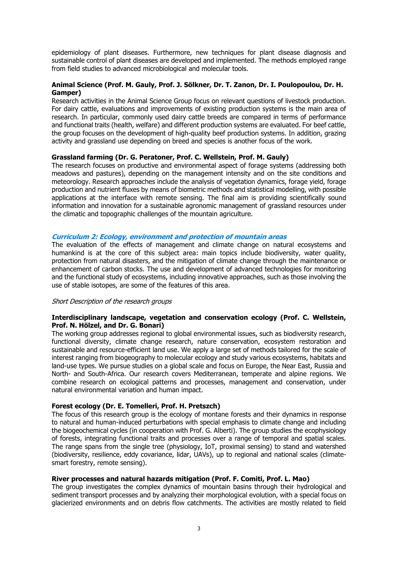epidemiology of plant diseases. Furthermore, new techniques for plant disease diagnosis and sustainable control of plant diseases are developed and implemented. The methods employed range from field studies to advanced microbiological and molecular tools.

## **Animal Science (Prof. M. Gauly, Prof. J. Sölkner, Dr. T. Zanon, Dr. I. Poulopoulou, Dr. H. Gamper)**

Research activities in the Animal Science Group focus on relevant questions of livestock production. For dairy cattle, evaluations and improvements of existing production systems is the main area of research. In particular, commonly used dairy cattle breeds are compared in terms of performance and functional traits (health, welfare) and different production systems are evaluated. For beef cattle, the group focuses on the development of high-quality beef production systems. In addition, grazing activity and grassland use depending on breed and species is another focus of the work.

## **Grassland farming (Dr. G. Peratoner, Prof. C. Wellstein, Prof. M. Gauly)**

The research focuses on productive and environmental aspect of forage systems (addressing both meadows and pastures), depending on the management intensity and on the site conditions and meteorology. Research approaches include the analysis of vegetation dynamics, forage yield, forage production and nutrient fluxes by means of biometric methods and statistical modelling, with possible applications at the interface with remote sensing. The final aim is providing scientifically sound information and innovation for a sustainable agronomic management of grassland resources under the climatic and topographic challenges of the mountain agriculture.

## **Curriculum 2: Ecology, environment and protection of mountain areas**

The evaluation of the effects of management and climate change on natural ecosystems and humankind is at the core of this subject area: main topics include biodiversity, water quality, protection from natural disasters, and the mitigation of climate change through the maintenance or enhancement of carbon stocks. The use and development of advanced technologies for monitoring and the functional study of ecosystems, including innovative approaches, such as those involving the use of stable isotopes, are some of the features of this area.

#### Short Description of the research groups

## **Interdisciplinary landscape, vegetation and conservation ecology (Prof. C. Wellstein, Prof. N. Hölzel, and Dr. G. Bonari)**

The working group addresses regional to global environmental issues, such as biodiversity research, functional diversity, climate change research, nature conservation, ecosystem restoration and sustainable and resource-efficient land use. We apply a large set of methods tailored for the scale of interest ranging from biogeography to molecular ecology and study various ecosystems, habitats and land-use types. We pursue studies on a global scale and focus on Europe, the Near East, Russia and North- and South-Africa. Our research covers Mediterranean, temperate and alpine regions. We combine research on ecological patterns and processes, management and conservation, under natural environmental variation and human impact.

# **Forest ecology (Dr. E. Tomelleri, Prof. H. Pretszch)**

The focus of this research group is the ecology of montane forests and their dynamics in response to natural and human-induced perturbations with special emphasis to climate change and including the biogeochemical cycles (in cooperation with Prof. G. Alberti). The group studies the ecophysiology of forests, integrating functional traits and processes over a range of temporal and spatial scales. The range spans from the single tree (physiology, IoT, proximal sensing) to stand and watershed (biodiversity, resilience, eddy covariance, lidar, UAVs), up to regional and national scales (climatesmart forestry, remote sensing).

# **River processes and natural hazards mitigation (Prof. F. Comiti, Prof. L. Mao)**

The group investigates the complex dynamics of mountain basins through their hydrological and sediment transport processes and by analyzing their morphological evolution, with a special focus on glacierized environments and on debris flow catchments. The activities are mostly related to field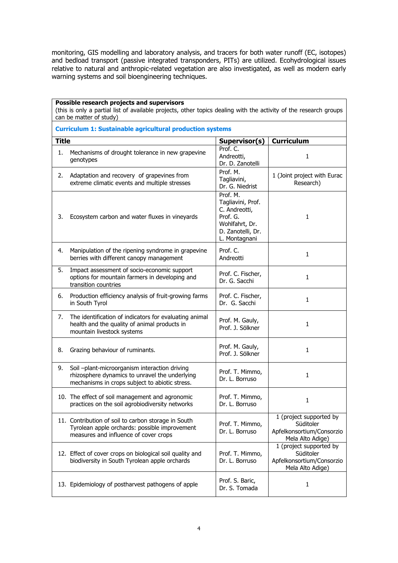monitoring, GIS modelling and laboratory analysis, and tracers for both water runoff (EC, isotopes) and bedload transport (passive integrated transponders, PITs) are utilized. Ecohydrological issues relative to natural and anthropic-related vegetation are also investigated, as well as modern early warning systems and soil bioengineering techniques.

| Possible research projects and supervisors<br>(this is only a partial list of available projects, other topics dealing with the activity of the research groups<br>can be matter of study) |                                                                                                                                                   |                                                                                                                    |                                                                                       |  |  |
|--------------------------------------------------------------------------------------------------------------------------------------------------------------------------------------------|---------------------------------------------------------------------------------------------------------------------------------------------------|--------------------------------------------------------------------------------------------------------------------|---------------------------------------------------------------------------------------|--|--|
| <b>Curriculum 1: Sustainable agricultural production systems</b>                                                                                                                           |                                                                                                                                                   |                                                                                                                    |                                                                                       |  |  |
| <b>Title</b>                                                                                                                                                                               |                                                                                                                                                   | Supervisor(s)                                                                                                      | <b>Curriculum</b>                                                                     |  |  |
| 1.                                                                                                                                                                                         | Mechanisms of drought tolerance in new grapevine<br>genotypes                                                                                     | Prof. C.<br>Andreotti,<br>Dr. D. Zanotelli                                                                         | $\mathbf{1}$                                                                          |  |  |
| 2.                                                                                                                                                                                         | Adaptation and recovery of grapevines from<br>extreme climatic events and multiple stresses                                                       | Prof. M.<br>Tagliavini,<br>Dr. G. Niedrist                                                                         | 1 (Joint project with Eurac<br>Research)                                              |  |  |
| 3.                                                                                                                                                                                         | Ecosystem carbon and water fluxes in vineyards                                                                                                    | Prof. M.<br>Tagliavini, Prof.<br>C. Andreotti,<br>Prof. G.<br>Wohlfahrt, Dr.<br>D. Zanotelli, Dr.<br>L. Montagnani | $\mathbf{1}$                                                                          |  |  |
| 4.                                                                                                                                                                                         | Manipulation of the ripening syndrome in grapevine<br>berries with different canopy management                                                    | Prof. C.<br>Andreotti                                                                                              | $\mathbf{1}$                                                                          |  |  |
| 5.                                                                                                                                                                                         | Impact assessment of socio-economic support<br>options for mountain farmers in developing and<br>transition countries                             | Prof. C. Fischer,<br>Dr. G. Sacchi                                                                                 | $\mathbf{1}$                                                                          |  |  |
| 6.                                                                                                                                                                                         | Production efficiency analysis of fruit-growing farms<br>in South Tyrol                                                                           | Prof. C. Fischer,<br>Dr. G. Sacchi                                                                                 | $\mathbf{1}$                                                                          |  |  |
| 7.                                                                                                                                                                                         | The identification of indicators for evaluating animal<br>health and the quality of animal products in<br>mountain livestock systems              | Prof. M. Gauly,<br>Prof. J. Sölkner                                                                                | $\mathbf{1}$                                                                          |  |  |
| 8.                                                                                                                                                                                         | Grazing behaviour of ruminants.                                                                                                                   | Prof. M. Gauly,<br>Prof. J. Sölkner                                                                                | $\mathbf{1}$                                                                          |  |  |
| 9.                                                                                                                                                                                         | Soil -plant-microorganism interaction driving<br>rhizosphere dynamics to unravel the underlying<br>mechanisms in crops subject to abiotic stress. | Prof. T. Mimmo,<br>Dr. L. Borruso                                                                                  | $\mathbf{1}$                                                                          |  |  |
|                                                                                                                                                                                            | 10. The effect of soil management and agronomic<br>practices on the soil agrobiodiversity networks                                                | Prof. T. Mimmo,<br>Dr. L. Borruso                                                                                  | 1                                                                                     |  |  |
|                                                                                                                                                                                            | 11. Contribution of soil to carbon storage in South<br>Tyrolean apple orchards: possible improvement<br>measures and influence of cover crops     | Prof. T. Mimmo,<br>Dr. L. Borruso                                                                                  | 1 (project supported by<br>Süditoler<br>Apfelkonsortium/Consorzio<br>Mela Alto Adige) |  |  |
|                                                                                                                                                                                            | 12. Effect of cover crops on biological soil quality and<br>biodiversity in South Tyrolean apple orchards                                         | Prof. T. Mimmo,<br>Dr. L. Borruso                                                                                  | 1 (project supported by<br>Süditoler<br>Apfelkonsortium/Consorzio<br>Mela Alto Adige) |  |  |
|                                                                                                                                                                                            | 13. Epidemiology of postharvest pathogens of apple                                                                                                | Prof. S. Baric,<br>Dr. S. Tomada                                                                                   | 1                                                                                     |  |  |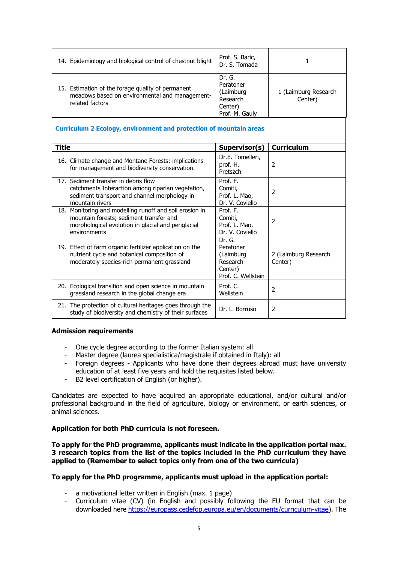| 14. Epidemiology and biological control of chestnut blight                                                             | Prof. S. Baric,<br>Dr. S. Tomada                                          |                                 |
|------------------------------------------------------------------------------------------------------------------------|---------------------------------------------------------------------------|---------------------------------|
| 15. Estimation of the forage quality of permanent<br>meadows based on environmental and management-<br>related factors | Dr. G.<br>Peratoner<br>(Laimburg<br>Research<br>Center)<br>Prof. M. Gauly | 1 (Laimburg Research<br>Center) |

# **Curriculum 2 Ecology, environment and protection of mountain areas**

| <b>Title</b>                                                                                                                                                             | Supervisor(s)                                                                 | <b>Curriculum</b>               |
|--------------------------------------------------------------------------------------------------------------------------------------------------------------------------|-------------------------------------------------------------------------------|---------------------------------|
| 16. Climate change and Montane Forests: implications<br>for management and biodiversity conservation.                                                                    | Dr.E. Tomelleri,<br>prof. H.<br>Pretszch                                      | 2                               |
| 17. Sediment transfer in debris flow<br>catchments Interaction among riparian vegetation,<br>sediment transport and channel morphology in<br>mountain rivers             | Prof. F.<br>Comiti,<br>Prof. L. Mao,<br>Dr. V. Coviello                       | 2                               |
| 18. Monitoring and modelling runoff and soil erosion in<br>mountain forests; sediment transfer and<br>morphological evolution in glacial and periglacial<br>environments | Prof. F.<br>Comiti,<br>Prof. L. Mao,<br>Dr. V. Coviello                       | 2                               |
| 19. Effect of farm organic fertilizer application on the<br>nutrient cycle and botanical composition of<br>moderately species-rich permanent grassland                   | Dr. G.<br>Peratoner<br>(Laimburg<br>Research<br>Center)<br>Prof. C. Wellstein | 2 (Laimburg Research<br>Center) |
| 20. Ecological transition and open science in mountain<br>grassland research in the global change era                                                                    | Prof. $C$<br>Wellstein                                                        | 2                               |
| 21. The protection of cultural heritages goes through the<br>study of biodiversity and chemistry of their surfaces                                                       | Dr. L. Borruso                                                                | 2                               |

# **Admission requirements**

- One cycle degree according to the former Italian system: all
- Master degree (laurea specialistica/magistrale if obtained in Italy): all
- Foreign degrees Applicants who have done their degrees abroad must have university education of at least five years and hold the requisites listed below.
- -B2 level certification of English (or higher).

Candidates are expected to have acquired an appropriate educational, and/or cultural and/or professional background in the field of agriculture, biology or environment, or earth sciences, or animal sciences.

# **Application for both PhD curricula is not foreseen.**

**To apply for the PhD programme, applicants must indicate in the application portal max. 3 research topics from the list of the topics included in the PhD curriculum they have applied to (Remember to select topics only from one of the two curricula)**

# **To apply for the PhD programme, applicants must upload in the application portal:**

- a motivational letter written in English (max. 1 page)
- Curriculum vitae (CV) (in English and possibly following the EU format that can be downloaded here [https://europass.cedefop.europa.eu/en/documents/curriculum-vitae\)](https://europass.cedefop.europa.eu/en/documents/curriculum-vitae). The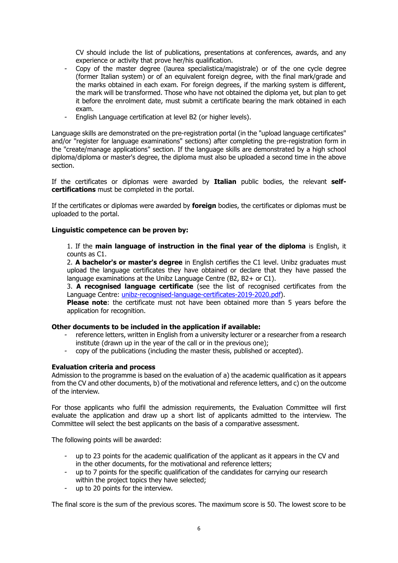CV should include the list of publications, presentations at conferences, awards, and any experience or activity that prove her/his qualification.

- Copy of the master degree (laurea specialistica/magistrale) or of the one cycle degree (former Italian system) or of an equivalent foreign degree, with the final mark/grade and the marks obtained in each exam. For foreign degrees, if the marking system is different, the mark will be transformed. Those who have not obtained the diploma yet, but plan to get it before the enrolment date, must submit a certificate bearing the mark obtained in each exam.
- -English Language certification at level B2 (or higher levels).

Language skills are demonstrated on the pre-registration portal (in the "upload language certificates" and/or "register for language examinations" sections) after completing the pre-registration form in the "create/manage applications" section. If the language skills are demonstrated by a high school diploma/diploma or master's degree, the diploma must also be uploaded a second time in the above section.

If the certificates or diplomas were awarded by **Italian** public bodies, the relevant **selfcertifications** must be completed in the portal.

If the certificates or diplomas were awarded by **foreign** bodies, the certificates or diplomas must be uploaded to the portal.

# **Linguistic competence can be proven by:**

1. If the **main language of instruction in the final year of the diploma** is English, it counts as C1.

2. **A bachelor's or master's degree** in English certifies the C1 level. Unibz graduates must upload the language certificates they have obtained or declare that they have passed the language examinations at the Unibz Language Centre (B2, B2+ or C1).

3. **A recognised language certificate** (see the list of recognised certificates from the Language Centre: [unibz-recognised-language-certificates-2019-2020.pdf\)](https://www.unibz.it/assets/Documents/Languages/unibz-recognised-language-certificates-2019-2020.pdf).

**Please note**: the certificate must not have been obtained more than 5 years before the application for recognition.

# **Other documents to be included in the application if available:**

- reference letters, written in English from a university lecturer or a researcher from a research institute (drawn up in the year of the call or in the previous one);
- copy of the publications (including the master thesis, published or accepted).

# **Evaluation criteria and process**

Admission to the programme is based on the evaluation of a) the academic qualification as it appears from the CV and other documents, b) of the motivational and reference letters, and c) on the outcome of the interview.

For those applicants who fulfil the admission requirements, the Evaluation Committee will first evaluate the application and draw up a short list of applicants admitted to the interview. The Committee will select the best applicants on the basis of a comparative assessment.

The following points will be awarded:

- up to 23 points for the academic qualification of the applicant as it appears in the CV and in the other documents, for the motivational and reference letters;
- up to 7 points for the specific qualification of the candidates for carrying our research within the project topics they have selected;
- up to 20 points for the interview.

The final score is the sum of the previous scores. The maximum score is 50. The lowest score to be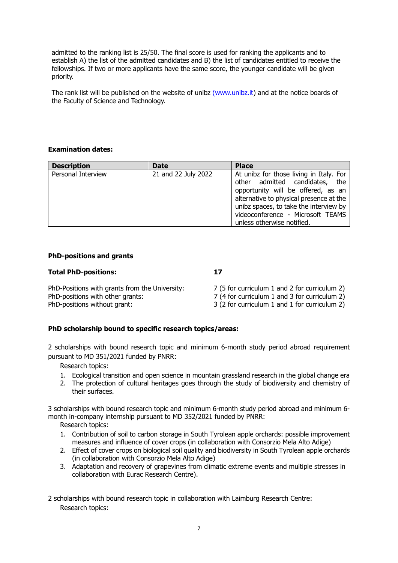admitted to the ranking list is 25/50. The final score is used for ranking the applicants and to establish A) the list of the admitted candidates and B) the list of candidates entitled to receive the fellowships. If two or more applicants have the same score, the younger candidate will be given priority.

The rank list will be published on the website of unibz [\(www.unibz.it\)](https://www.unibz.it/) and at the notice boards of the Faculty of Science and Technology.

# **Examination dates:**

| <b>Description</b> | <b>Date</b>         | <b>Place</b>                                                                                                                                                                                                                                                            |
|--------------------|---------------------|-------------------------------------------------------------------------------------------------------------------------------------------------------------------------------------------------------------------------------------------------------------------------|
| Personal Interview | 21 and 22 July 2022 | At unibz for those living in Italy. For<br>other admitted candidates, the<br>opportunity will be offered, as an<br>alternative to physical presence at the<br>unibz spaces, to take the interview by<br>videoconference - Microsoft TEAMS<br>unless otherwise notified. |

# **PhD-positions and grants**

#### **Total PhD-positions: 17**

| PhD-Positions with grants from the University: | 7 (5 for curriculum 1 and 2 for curriculum 2) |
|------------------------------------------------|-----------------------------------------------|
| PhD-positions with other grants:               | 7 (4 for curriculum 1 and 3 for curriculum 2) |
| PhD-positions without grant:                   | 3 (2 for curriculum 1 and 1 for curriculum 2) |

# **PhD scholarship bound to specific research topics/areas:**

2 scholarships with bound research topic and minimum 6-month study period abroad requirement pursuant to MD 351/2021 funded by PNRR:

Research topics:

- 1. Ecological transition and open science in mountain grassland research in the global change era
- 2. The protection of cultural heritages goes through the study of biodiversity and chemistry of their surfaces.

3 scholarships with bound research topic and minimum 6-month study period abroad and minimum 6 month in-company internship pursuant to MD 352/2021 funded by PNRR:

Research topics:

- 1. Contribution of soil to carbon storage in South Tyrolean apple orchards: possible improvement measures and influence of cover crops (in collaboration with Consorzio Mela Alto Adige)
- 2. Effect of cover crops on biological soil quality and biodiversity in South Tyrolean apple orchards (in collaboration with Consorzio Mela Alto Adige)
- 3. Adaptation and recovery of grapevines from climatic extreme events and multiple stresses in collaboration with Eurac Research Centre).

2 scholarships with bound research topic in collaboration with Laimburg Research Centre: Research topics: